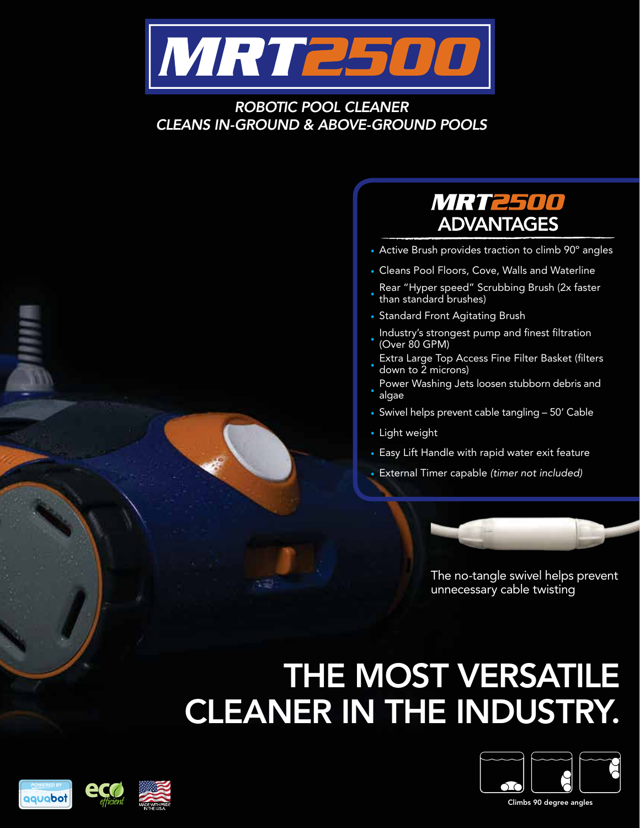

#### *ROBOTIC POOL CLEANER CLEANS IN-GROUND & ABOVE-GROUND POOLS*

#### *MRT2500* **ADVANTAGES**

- **•** Active Brush provides traction to climb 90º angles
- **•** Cleans Pool Floors, Cove, Walls and Waterline
- **•** Rear "Hyper speed" Scrubbing Brush (2x faster than standard brushes)
- **•** Standard Front Agitating Brush
- **•** Industry's strongest pump and finest filtration (Over 80 GPM)
- **•** Extra Large Top Access Fine Filter Basket (filters down to 2 microns)
- **•** Power Washing Jets loosen stubborn debris and algae
- **•** Swivel helps prevent cable tangling 50' Cable
- **•** Light weight
- **•** Easy Lift Handle with rapid water exit feature
- **•** External Timer capable *(timer not included)*



The no-tangle swivel helps prevent unnecessary cable twisting

# THE MOST VERSATILE CLEANER IN THE INDUSTRY.